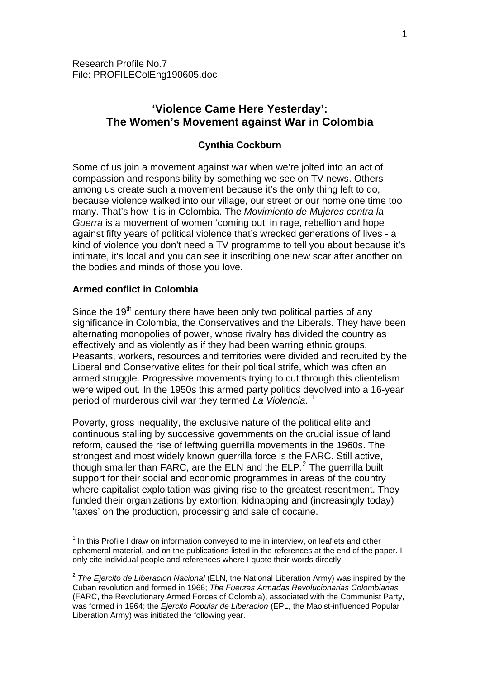# **'Violence Came Here Yesterday': The Women's Movement against War in Colombia**

# **Cynthia Cockburn**

Some of us join a movement against war when we're jolted into an act of compassion and responsibility by something we see on TV news. Others among us create such a movement because it's the only thing left to do, because violence walked into our village, our street or our home one time too many. That's how it is in Colombia. The *Movimiento de Mujeres contra la Guerra* is a movement of women 'coming out' in rage, rebellion and hope against fifty years of political violence that's wrecked generations of lives - a kind of violence you don't need a TV programme to tell you about because it's intimate, it's local and you can see it inscribing one new scar after another on the bodies and minds of those you love.

# **Armed conflict in Colombia**

1

Since the  $19<sup>th</sup>$  century there have been only two political parties of any significance in Colombia, the Conservatives and the Liberals. They have been alternating monopolies of power, whose rivalry has divided the country as effectively and as violently as if they had been warring ethnic groups. Peasants, workers, resources and territories were divided and recruited by the Liberal and Conservative elites for their political strife, which was often an armed struggle. Progressive movements trying to cut through this clientelism were wiped out. In the 1950s this armed party politics devolved into a 16-year period of murderous civil war they termed *La Violencia*. [1](#page-0-0)

Poverty, gross inequality, the exclusive nature of the political elite and continuous stalling by successive governments on the crucial issue of land reform, caused the rise of leftwing guerrilla movements in the 1960s. The strongest and most widely known guerrilla force is the FARC. Still active, though smaller than  $FARC$ , are the ELN and the ELP. $^2$  $^2$  The guerrilla built support for their social and economic programmes in areas of the country where capitalist exploitation was giving rise to the greatest resentment. They funded their organizations by extortion, kidnapping and (increasingly today) 'taxes' on the production, processing and sale of cocaine.

<span id="page-0-0"></span> $<sup>1</sup>$  In this Profile I draw on information conveyed to me in interview, on leaflets and other</sup> ephemeral material, and on the publications listed in the references at the end of the paper. I only cite individual people and references where I quote their words directly.

<span id="page-0-1"></span><sup>2</sup> *The Ejercito de Liberacion Nacional* (ELN, the National Liberation Army) was inspired by the Cuban revolution and formed in 1966; *The Fuerzas Armadas Revolucionarias Colombianas* (FARC, the Revolutionary Armed Forces of Colombia), associated with the Communist Party, was formed in 1964; the *Ejercito Popular de Liberacion* (EPL, the Maoist-influenced Popular Liberation Army) was initiated the following year.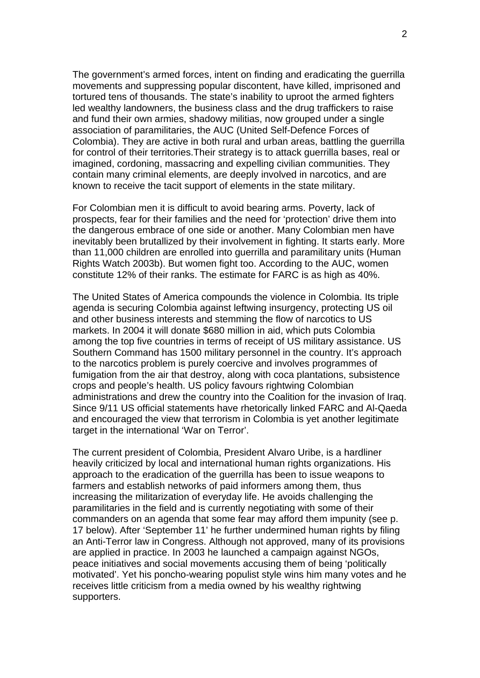The government's armed forces, intent on finding and eradicating the guerrilla movements and suppressing popular discontent, have killed, imprisoned and tortured tens of thousands. The state's inability to uproot the armed fighters led wealthy landowners, the business class and the drug traffickers to raise and fund their own armies, shadowy militias, now grouped under a single association of paramilitaries, the AUC (United Self-Defence Forces of Colombia). They are active in both rural and urban areas, battling the guerrilla for control of their territories.Their strategy is to attack guerrilla bases, real or imagined, cordoning, massacring and expelling civilian communities. They contain many criminal elements, are deeply involved in narcotics, and are known to receive the tacit support of elements in the state military.

For Colombian men it is difficult to avoid bearing arms. Poverty, lack of prospects, fear for their families and the need for 'protection' drive them into the dangerous embrace of one side or another. Many Colombian men have inevitably been brutallized by their involvement in fighting. It starts early. More than 11,000 children are enrolled into guerrilla and paramilitary units (Human Rights Watch 2003b). But women fight too. According to the AUC, women constitute 12% of their ranks. The estimate for FARC is as high as 40%.

The United States of America compounds the violence in Colombia. Its triple agenda is securing Colombia against leftwing insurgency, protecting US oil and other business interests and stemming the flow of narcotics to US markets. In 2004 it will donate \$680 million in aid, which puts Colombia among the top five countries in terms of receipt of US military assistance. US Southern Command has 1500 military personnel in the country. It's approach to the narcotics problem is purely coercive and involves programmes of fumigation from the air that destroy, along with coca plantations, subsistence crops and people's health. US policy favours rightwing Colombian administrations and drew the country into the Coalition for the invasion of Iraq. Since 9/11 US official statements have rhetorically linked FARC and Al-Qaeda and encouraged the view that terrorism in Colombia is yet another legitimate target in the international 'War on Terror'.

The current president of Colombia, President Alvaro Uribe, is a hardliner heavily criticized by local and international human rights organizations. His approach to the eradication of the guerrilla has been to issue weapons to farmers and establish networks of paid informers among them, thus increasing the militarization of everyday life. He avoids challenging the paramilitaries in the field and is currently negotiating with some of their commanders on an agenda that some fear may afford them impunity (see p. 17 below). After 'September 11' he further undermined human rights by filing an Anti-Terror law in Congress. Although not approved, many of its provisions are applied in practice. In 2003 he launched a campaign against NGOs, peace initiatives and social movements accusing them of being 'politically motivated'. Yet his poncho-wearing populist style wins him many votes and he receives little criticism from a media owned by his wealthy rightwing supporters.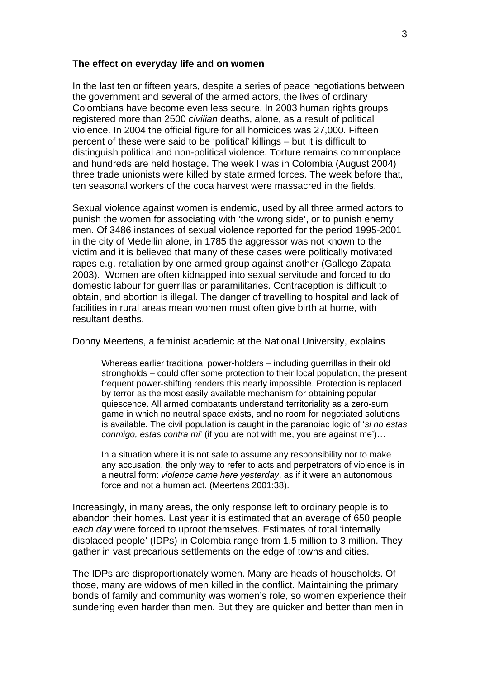#### **The effect on everyday life and on women**

In the last ten or fifteen years, despite a series of peace negotiations between the government and several of the armed actors, the lives of ordinary Colombians have become even less secure. In 2003 human rights groups registered more than 2500 *civilian* deaths, alone, as a result of political violence. In 2004 the official figure for all homicides was 27,000. Fifteen percent of these were said to be 'political' killings – but it is difficult to distinguish political and non-political violence. Torture remains commonplace and hundreds are held hostage. The week I was in Colombia (August 2004) three trade unionists were killed by state armed forces. The week before that, ten seasonal workers of the coca harvest were massacred in the fields.

Sexual violence against women is endemic, used by all three armed actors to punish the women for associating with 'the wrong side', or to punish enemy men. Of 3486 instances of sexual violence reported for the period 1995-2001 in the city of Medellin alone, in 1785 the aggressor was not known to the victim and it is believed that many of these cases were politically motivated rapes e.g. retaliation by one armed group against another (Gallego Zapata 2003). Women are often kidnapped into sexual servitude and forced to do domestic labour for guerrillas or paramilitaries. Contraception is difficult to obtain, and abortion is illegal. The danger of travelling to hospital and lack of facilities in rural areas mean women must often give birth at home, with resultant deaths.

Donny Meertens, a feminist academic at the National University, explains

Whereas earlier traditional power-holders – including querrillas in their old strongholds – could offer some protection to their local population, the present frequent power-shifting renders this nearly impossible. Protection is replaced by terror as the most easily available mechanism for obtaining popular quiescence. All armed combatants understand territoriality as a zero-sum game in which no neutral space exists, and no room for negotiated solutions is available. The civil population is caught in the paranoiac logic of '*si no estas conmigo, estas contra mi*' (if you are not with me, you are against me')…

In a situation where it is not safe to assume any responsibility nor to make any accusation, the only way to refer to acts and perpetrators of violence is in a neutral form: *violence came here yesterday*, as if it were an autonomous force and not a human act. (Meertens 2001:38).

Increasingly, in many areas, the only response left to ordinary people is to abandon their homes. Last year it is estimated that an average of 650 people *each day* were forced to uproot themselves. Estimates of total 'internally displaced people' (IDPs) in Colombia range from 1.5 million to 3 million. They gather in vast precarious settlements on the edge of towns and cities.

The IDPs are disproportionately women. Many are heads of households. Of those, many are widows of men killed in the conflict. Maintaining the primary bonds of family and community was women's role, so women experience their sundering even harder than men. But they are quicker and better than men in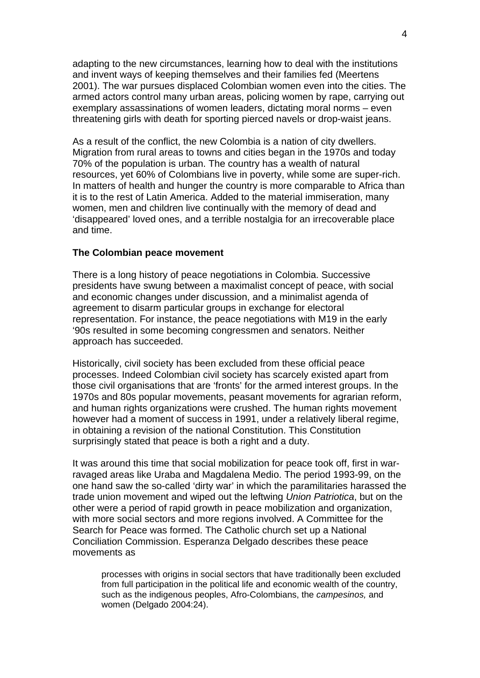adapting to the new circumstances, learning how to deal with the institutions and invent ways of keeping themselves and their families fed (Meertens 2001). The war pursues displaced Colombian women even into the cities. The armed actors control many urban areas, policing women by rape, carrying out exemplary assassinations of women leaders, dictating moral norms – even threatening girls with death for sporting pierced navels or drop-waist jeans.

As a result of the conflict, the new Colombia is a nation of city dwellers. Migration from rural areas to towns and cities began in the 1970s and today 70% of the population is urban. The country has a wealth of natural resources, yet 60% of Colombians live in poverty, while some are super-rich. In matters of health and hunger the country is more comparable to Africa than it is to the rest of Latin America. Added to the material immiseration, many women, men and children live continually with the memory of dead and 'disappeared' loved ones, and a terrible nostalgia for an irrecoverable place and time.

### **The Colombian peace movement**

There is a long history of peace negotiations in Colombia. Successive presidents have swung between a maximalist concept of peace, with social and economic changes under discussion, and a minimalist agenda of agreement to disarm particular groups in exchange for electoral representation. For instance, the peace negotiations with M19 in the early '90s resulted in some becoming congressmen and senators. Neither approach has succeeded.

Historically, civil society has been excluded from these official peace processes. Indeed Colombian civil society has scarcely existed apart from those civil organisations that are 'fronts' for the armed interest groups. In the 1970s and 80s popular movements, peasant movements for agrarian reform, and human rights organizations were crushed. The human rights movement however had a moment of success in 1991, under a relatively liberal regime, in obtaining a revision of the national Constitution. This Constitution surprisingly stated that peace is both a right and a duty.

It was around this time that social mobilization for peace took off, first in warravaged areas like Uraba and Magdalena Medio. The period 1993-99, on the one hand saw the so-called 'dirty war' in which the paramilitaries harassed the trade union movement and wiped out the leftwing *Union Patriotica*, but on the other were a period of rapid growth in peace mobilization and organization, with more social sectors and more regions involved. A Committee for the Search for Peace was formed. The Catholic church set up a National Conciliation Commission. Esperanza Delgado describes these peace movements as

processes with origins in social sectors that have traditionally been excluded from full participation in the political life and economic wealth of the country, such as the indigenous peoples, Afro-Colombians, the *campesinos,* and women (Delgado 2004:24).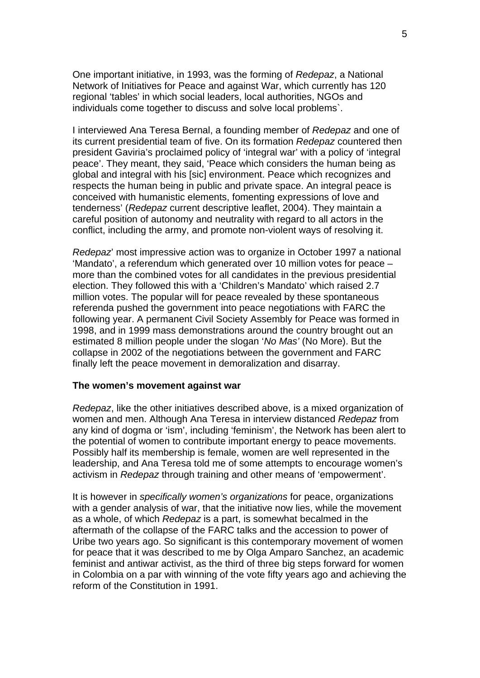One important initiative, in 1993, was the forming of *Redepaz*, a National Network of Initiatives for Peace and against War, which currently has 120 regional 'tables' in which social leaders, local authorities, NGOs and individuals come together to discuss and solve local problems`.

I interviewed Ana Teresa Bernal, a founding member of *Redepaz* and one of its current presidential team of five. On its formation *Redepaz* countered then president Gaviria's proclaimed policy of 'integral war' with a policy of 'integral peace'. They meant, they said, 'Peace which considers the human being as global and integral with his [sic] environment. Peace which recognizes and respects the human being in public and private space. An integral peace is conceived with humanistic elements, fomenting expressions of love and tenderness' (*Redepaz* current descriptive leaflet, 2004). They maintain a careful position of autonomy and neutrality with regard to all actors in the conflict, including the army, and promote non-violent ways of resolving it.

*Redepaz*' most impressive action was to organize in October 1997 a national 'Mandato', a referendum which generated over 10 million votes for peace – more than the combined votes for all candidates in the previous presidential election. They followed this with a 'Children's Mandato' which raised 2.7 million votes. The popular will for peace revealed by these spontaneous referenda pushed the government into peace negotiations with FARC the following year. A permanent Civil Society Assembly for Peace was formed in 1998, and in 1999 mass demonstrations around the country brought out an estimated 8 million people under the slogan '*No Mas'* (No More). But the collapse in 2002 of the negotiations between the government and FARC finally left the peace movement in demoralization and disarray.

#### **The women's movement against war**

*Redepaz*, like the other initiatives described above, is a mixed organization of women and men. Although Ana Teresa in interview distanced *Redepaz* from any kind of dogma or 'ism', including 'feminism', the Network has been alert to the potential of women to contribute important energy to peace movements. Possibly half its membership is female, women are well represented in the leadership, and Ana Teresa told me of some attempts to encourage women's activism in *Redepaz* through training and other means of 'empowerment'.

It is however in *specifically women's organizations* for peace, organizations with a gender analysis of war, that the initiative now lies, while the movement as a whole, of which *Redepaz* is a part, is somewhat becalmed in the aftermath of the collapse of the FARC talks and the accession to power of Uribe two years ago. So significant is this contemporary movement of women for peace that it was described to me by Olga Amparo Sanchez, an academic feminist and antiwar activist, as the third of three big steps forward for women in Colombia on a par with winning of the vote fifty years ago and achieving the reform of the Constitution in 1991.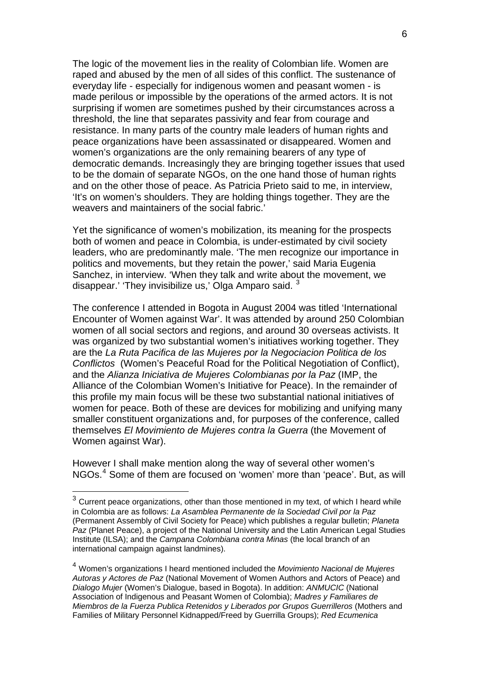The logic of the movement lies in the reality of Colombian life. Women are raped and abused by the men of all sides of this conflict. The sustenance of everyday life - especially for indigenous women and peasant women - is made perilous or impossible by the operations of the armed actors. It is not surprising if women are sometimes pushed by their circumstances across a threshold, the line that separates passivity and fear from courage and resistance. In many parts of the country male leaders of human rights and peace organizations have been assassinated or disappeared. Women and women's organizations are the only remaining bearers of any type of democratic demands. Increasingly they are bringing together issues that used to be the domain of separate NGOs, on the one hand those of human rights and on the other those of peace. As Patricia Prieto said to me, in interview, 'It's on women's shoulders. They are holding things together. They are the weavers and maintainers of the social fabric.'

Yet the significance of women's mobilization, its meaning for the prospects both of women and peace in Colombia, is under-estimated by civil society leaders, who are predominantly male. 'The men recognize our importance in politics and movements, but they retain the power,' said Maria Eugenia Sanchez, in interview. 'When they talk and write about the movement, we disappear.' 'They invisibilize us,' Olga Amparo said.  $3$ 

The conference I attended in Bogota in August 2004 was titled 'International Encounter of Women against War'. It was attended by around 250 Colombian women of all social sectors and regions, and around 30 overseas activists. It was organized by two substantial women's initiatives working together. They are the *La Ruta Pacifica de las Mujeres por la Negociacion Politica de los Conflictos* (Women's Peaceful Road for the Political Negotiation of Conflict), and the *Alianza Iniciativa de Mujeres Colombianas por la Paz* (IMP, the Alliance of the Colombian Women's Initiative for Peace). In the remainder of this profile my main focus will be these two substantial national initiatives of women for peace. Both of these are devices for mobilizing and unifying many smaller constituent organizations and, for purposes of the conference, called themselves *El Movimiento de Mujeres contra la Guerra* (the Movement of Women against War).

However I shall make mention along the way of several other women's NGOs.[4](#page-5-1) Some of them are focused on 'women' more than 'peace'. But, as will

1

<span id="page-5-0"></span> $3$  Current peace organizations, other than those mentioned in my text, of which I heard while in Colombia are as follows: *La Asamblea Permanente de la Sociedad Civil por la Paz* (Permanent Assembly of Civil Society for Peace) which publishes a regular bulletin; *Planeta Paz* (Planet Peace), a project of the National University and the Latin American Legal Studies Institute (ILSA); and the *Campana Colombiana contra Minas* (the local branch of an international campaign against landmines).

<span id="page-5-1"></span><sup>4</sup> Women's organizations I heard mentioned included the *Movimiento Nacional de Mujeres Autoras y Actores de Paz* (National Movement of Women Authors and Actors of Peace) and *Dialogo Mujer* (Women's Dialogue, based in Bogota). In addition: *ANMUCIC* (National Association of Indigenous and Peasant Women of Colombia); *Madres y Familiares de Miembros de la Fuerza Publica Retenidos y Liberados por Grupos Guerrilleros* (Mothers and Families of Military Personnel Kidnapped/Freed by Guerrilla Groups); *Red Ecumenica*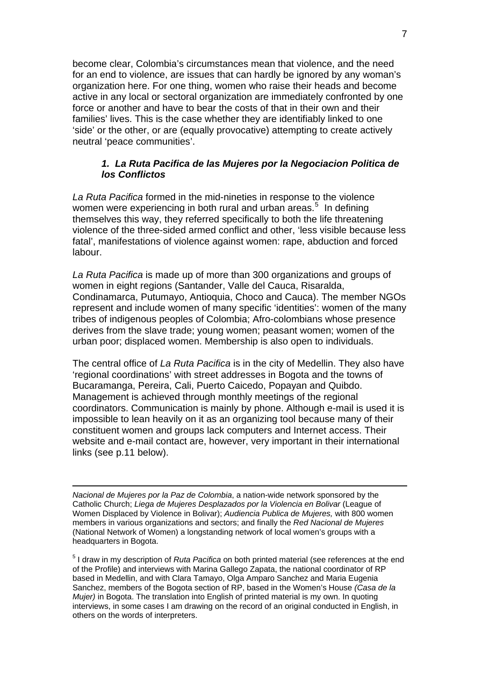become clear, Colombia's circumstances mean that violence, and the need for an end to violence, are issues that can hardly be ignored by any woman's organization here. For one thing, women who raise their heads and become active in any local or sectoral organization are immediately confronted by one force or another and have to bear the costs of that in their own and their families' lives. This is the case whether they are identifiably linked to one 'side' or the other, or are (equally provocative) attempting to create actively neutral 'peace communities'.

### *1. La Ruta Pacifica de las Mujeres por la Negociacion Politica de los Conflictos*

*La Ruta Pacifica* formed in the mid-nineties in response to the violence women were experiencing in both rural and urban areas.<sup>[5](#page-6-0)</sup> In defining themselves this way, they referred specifically to both the life threatening violence of the three-sided armed conflict and other, 'less visible because less fatal', manifestations of violence against women: rape, abduction and forced labour.

*La Ruta Pacifica* is made up of more than 300 organizations and groups of women in eight regions (Santander, Valle del Cauca, Risaralda, Condinamarca, Putumayo, Antioquia, Choco and Cauca). The member NGOs represent and include women of many specific 'identities': women of the many tribes of indigenous peoples of Colombia; Afro-colombians whose presence derives from the slave trade; young women; peasant women; women of the urban poor; displaced women. Membership is also open to individuals.

The central office of *La Ruta Pacifica* is in the city of Medellin. They also have 'regional coordinations' with street addresses in Bogota and the towns of Bucaramanga, Pereira, Cali, Puerto Caicedo, Popayan and Quibdo. Management is achieved through monthly meetings of the regional coordinators. Communication is mainly by phone. Although e-mail is used it is impossible to lean heavily on it as an organizing tool because many of their constituent women and groups lack computers and Internet access. Their website and e-mail contact are, however, very important in their international links (see p.11 below).

1 *Nacional de Mujeres por la Paz de Colombia*, a nation-wide network sponsored by the Catholic Church; *Liega de Mujeres Desplazados por la Violencia en Bolivar* (League of Women Displaced by Violence in Bolivar); *Audiencia Publica de Mujeres,* with 800 women members in various organizations and sectors; and finally the *Red Nacional de Mujeres* (National Network of Women) a longstanding network of local women's groups with a headquarters in Bogota.

<span id="page-6-0"></span>5 I draw in my description of *Ruta Pacifica* on both printed material (see references at the end of the Profile) and interviews with Marina Gallego Zapata, the national coordinator of RP based in Medellin, and with Clara Tamayo, Olga Amparo Sanchez and Maria Eugenia Sanchez, members of the Bogota section of RP, based in the Women's House *(Casa de la Mujer)* in Bogota. The translation into English of printed material is my own. In quoting interviews, in some cases I am drawing on the record of an original conducted in English, in others on the words of interpreters.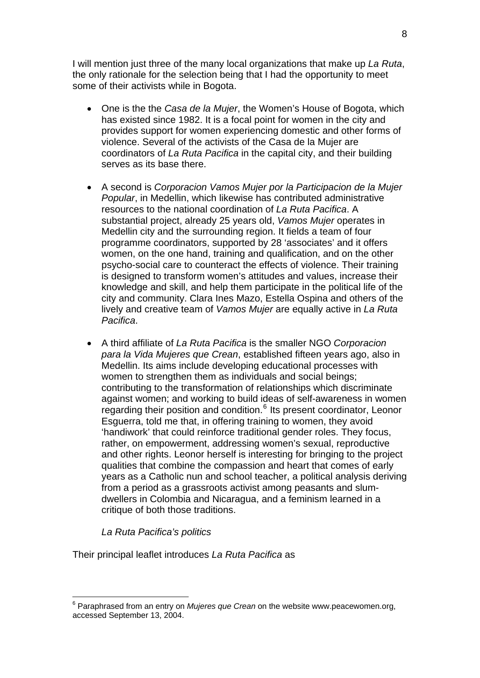I will mention just three of the many local organizations that make up *La Ruta*, the only rationale for the selection being that I had the opportunity to meet some of their activists while in Bogota.

- One is the the *Casa de la Mujer*, the Women's House of Bogota, which has existed since 1982. It is a focal point for women in the city and provides support for women experiencing domestic and other forms of violence. Several of the activists of the Casa de la Mujer are coordinators of *La Ruta Pacifica* in the capital city, and their building serves as its base there.
- A second is *Corporacion Vamos Mujer por la Participacion de la Mujer Popular*, in Medellin, which likewise has contributed administrative resources to the national coordination of *La Ruta Pacifica*. A substantial project, already 25 years old, *Vamos Mujer* operates in Medellin city and the surrounding region. It fields a team of four programme coordinators, supported by 28 'associates' and it offers women, on the one hand, training and qualification, and on the other psycho-social care to counteract the effects of violence. Their training is designed to transform women's attitudes and values, increase their knowledge and skill, and help them participate in the political life of the city and community. Clara Ines Mazo, Estella Ospina and others of the lively and creative team of *Vamos Mujer* are equally active in *La Ruta Pacifica*.
- A third affiliate of *La Ruta Pacifica* is the smaller NGO *Corporacion para la Vida Mujeres que Crean*, established fifteen years ago, also in Medellin. Its aims include developing educational processes with women to strengthen them as individuals and social beings: contributing to the transformation of relationships which discriminate against women; and working to build ideas of self-awareness in women regarding their position and condition.<sup>[6](#page-7-0)</sup> Its present coordinator, Leonor Esguerra, told me that, in offering training to women, they avoid 'handiwork' that could reinforce traditional gender roles. They focus, rather, on empowerment, addressing women's sexual, reproductive and other rights. Leonor herself is interesting for bringing to the project qualities that combine the compassion and heart that comes of early years as a Catholic nun and school teacher, a political analysis deriving from a period as a grassroots activist among peasants and slumdwellers in Colombia and Nicaragua, and a feminism learned in a critique of both those traditions.

# *La Ruta Pacifica's politics*

Their principal leaflet introduces *La Ruta Pacifica* as

<span id="page-7-0"></span><sup>1</sup> <sup>6</sup> Paraphrased from an entry on *Mujeres que Crean* on the website www.peacewomen.org, accessed September 13, 2004.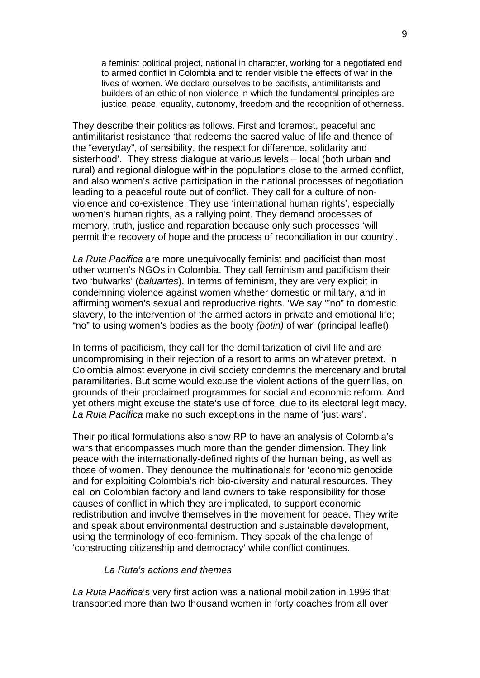a feminist political project, national in character, working for a negotiated end to armed conflict in Colombia and to render visible the effects of war in the lives of women. We declare ourselves to be pacifists, antimilitarists and builders of an ethic of non-violence in which the fundamental principles are justice, peace, equality, autonomy, freedom and the recognition of otherness.

They describe their politics as follows. First and foremost, peaceful and antimilitarist resistance 'that redeems the sacred value of life and thence of the "everyday", of sensibility, the respect for difference, solidarity and sisterhood'. They stress dialogue at various levels – local (both urban and rural) and regional dialogue within the populations close to the armed conflict, and also women's active participation in the national processes of negotiation leading to a peaceful route out of conflict. They call for a culture of nonviolence and co-existence. They use 'international human rights', especially women's human rights, as a rallying point. They demand processes of memory, truth, justice and reparation because only such processes 'will permit the recovery of hope and the process of reconciliation in our country'.

*La Ruta Pacifica* are more unequivocally feminist and pacificist than most other women's NGOs in Colombia. They call feminism and pacificism their two 'bulwarks' (*baluartes*). In terms of feminism, they are very explicit in condemning violence against women whether domestic or military, and in affirming women's sexual and reproductive rights. 'We say '"no" to domestic slavery, to the intervention of the armed actors in private and emotional life; "no" to using women's bodies as the booty *(botin)* of war' (principal leaflet).

In terms of pacificism, they call for the demilitarization of civil life and are uncompromising in their rejection of a resort to arms on whatever pretext. In Colombia almost everyone in civil society condemns the mercenary and brutal paramilitaries. But some would excuse the violent actions of the guerrillas, on grounds of their proclaimed programmes for social and economic reform. And yet others might excuse the state's use of force, due to its electoral legitimacy. *La Ruta Pacifica* make no such exceptions in the name of 'just wars'.

Their political formulations also show RP to have an analysis of Colombia's wars that encompasses much more than the gender dimension. They link peace with the internationally-defined rights of the human being, as well as those of women. They denounce the multinationals for 'economic genocide' and for exploiting Colombia's rich bio-diversity and natural resources. They call on Colombian factory and land owners to take responsibility for those causes of conflict in which they are implicated, to support economic redistribution and involve themselves in the movement for peace. They write and speak about environmental destruction and sustainable development, using the terminology of eco-feminism. They speak of the challenge of 'constructing citizenship and democracy' while conflict continues.

### *La Ruta's actions and themes*

*La Ruta Pacifica*'s very first action was a national mobilization in 1996 that transported more than two thousand women in forty coaches from all over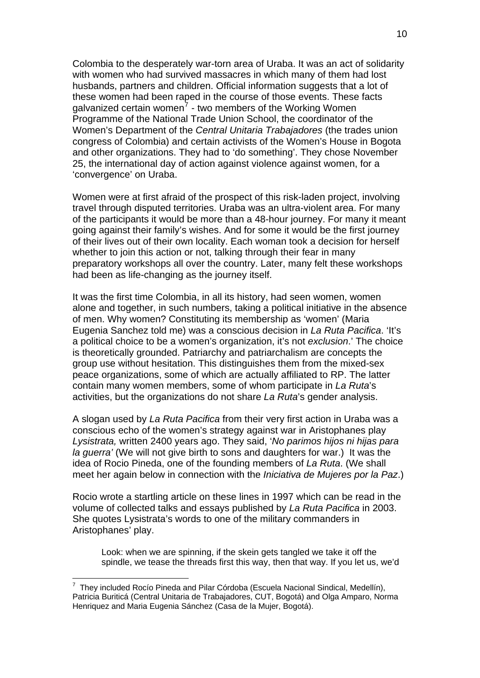Colombia to the desperately war-torn area of Uraba. It was an act of solidarity with women who had survived massacres in which many of them had lost husbands, partners and children. Official information suggests that a lot of these women had been raped in the course of those events. These facts galvanized certain women<sup>[7](#page-9-0)</sup> - two members of the Working Women Programme of the National Trade Union School, the coordinator of the Women's Department of the *Central Unitaria Trabajadores* (the trades union congress of Colombia) and certain activists of the Women's House in Bogota and other organizations. They had to 'do something'. They chose November 25, the international day of action against violence against women, for a 'convergence' on Uraba.

Women were at first afraid of the prospect of this risk-laden project, involving travel through disputed territories. Uraba was an ultra-violent area. For many of the participants it would be more than a 48-hour journey. For many it meant going against their family's wishes. And for some it would be the first journey of their lives out of their own locality. Each woman took a decision for herself whether to join this action or not, talking through their fear in many preparatory workshops all over the country. Later, many felt these workshops had been as life-changing as the journey itself.

It was the first time Colombia, in all its history, had seen women, women alone and together, in such numbers, taking a political initiative in the absence of men. Why women? Constituting its membership as 'women' (Maria Eugenia Sanchez told me) was a conscious decision in *La Ruta Pacifica*. 'It's a political choice to be a women's organization, it's not *exclusion*.' The choice is theoretically grounded. Patriarchy and patriarchalism are concepts the group use without hesitation. This distinguishes them from the mixed-sex peace organizations, some of which are actually affiliated to RP. The latter contain many women members, some of whom participate in *La Ruta*'s activities, but the organizations do not share *La Ruta*'s gender analysis.

A slogan used by *La Ruta Pacifica* from their very first action in Uraba was a conscious echo of the women's strategy against war in Aristophanes play *Lysistrata,* written 2400 years ago. They said, '*No parimos hijos ni hijas para la guerra'* (We will not give birth to sons and daughters for war.) It was the idea of Rocio Pineda, one of the founding members of *La Ruta*. (We shall meet her again below in connection with the *Iniciativa de Mujeres por la Paz*.)

Rocio wrote a startling article on these lines in 1997 which can be read in the volume of collected talks and essays published by *La Ruta Pacifica* in 2003. She quotes Lysistrata's words to one of the military commanders in Aristophanes' play.

Look: when we are spinning, if the skein gets tangled we take it off the spindle, we tease the threads first this way, then that way. If you let us, we'd

1

<span id="page-9-0"></span> $^7$  They included Rocío Pineda and Pilar Córdoba (Escuela Nacional Sindical, Medellín), Patricia Buriticá (Central Unitaria de Trabajadores, CUT, Bogotá) and Olga Amparo, Norma Henriquez and Maria Eugenia Sánchez (Casa de la Mujer, Bogotá).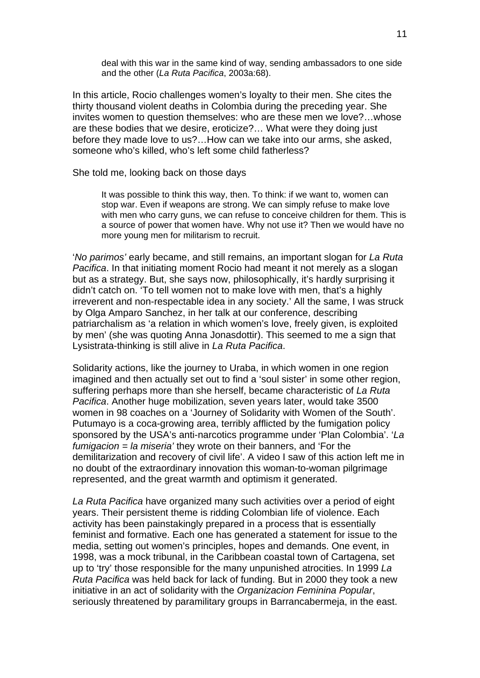deal with this war in the same kind of way, sending ambassadors to one side and the other (*La Ruta Pacifica*, 2003a:68).

In this article, Rocio challenges women's loyalty to their men. She cites the thirty thousand violent deaths in Colombia during the preceding year. She invites women to question themselves: who are these men we love?…whose are these bodies that we desire, eroticize?… What were they doing just before they made love to us?…How can we take into our arms, she asked, someone who's killed, who's left some child fatherless?

#### She told me, looking back on those days

It was possible to think this way, then. To think: if we want to, women can stop war. Even if weapons are strong. We can simply refuse to make love with men who carry guns, we can refuse to conceive children for them. This is a source of power that women have. Why not use it? Then we would have no more young men for militarism to recruit.

'*No parimos'* early became, and still remains, an important slogan for *La Ruta Pacifica*. In that initiating moment Rocio had meant it not merely as a slogan but as a strategy. But, she says now, philosophically, it's hardly surprising it didn't catch on. 'To tell women not to make love with men, that's a highly irreverent and non-respectable idea in any society.' All the same, I was struck by Olga Amparo Sanchez, in her talk at our conference, describing patriarchalism as 'a relation in which women's love, freely given, is exploited by men' (she was quoting Anna Jonasdottir). This seemed to me a sign that Lysistrata-thinking is still alive in *La Ruta Pacifica*.

Solidarity actions, like the journey to Uraba, in which women in one region imagined and then actually set out to find a 'soul sister' in some other region, suffering perhaps more than she herself, became characteristic of *La Ruta Pacifica*. Another huge mobilization, seven years later, would take 3500 women in 98 coaches on a 'Journey of Solidarity with Women of the South'. Putumayo is a coca-growing area, terribly afflicted by the fumigation policy sponsored by the USA's anti-narcotics programme under 'Plan Colombia'. '*La fumigacion = la miseria'* they wrote on their banners, and 'For the demilitarization and recovery of civil life'. A video I saw of this action left me in no doubt of the extraordinary innovation this woman-to-woman pilgrimage represented, and the great warmth and optimism it generated.

*La Ruta Pacifica* have organized many such activities over a period of eight years. Their persistent theme is ridding Colombian life of violence. Each activity has been painstakingly prepared in a process that is essentially feminist and formative. Each one has generated a statement for issue to the media, setting out women's principles, hopes and demands. One event, in 1998, was a mock tribunal, in the Caribbean coastal town of Cartagena, set up to 'try' those responsible for the many unpunished atrocities. In 1999 *La Ruta Pacifica* was held back for lack of funding. But in 2000 they took a new initiative in an act of solidarity with the *Organizacion Feminina Popular*, seriously threatened by paramilitary groups in Barrancabermeja, in the east.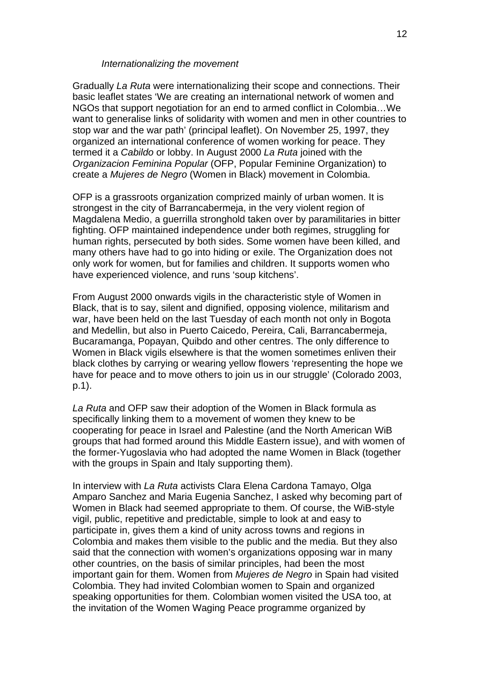#### *Internationalizing the movement*

Gradually *La Ruta* were internationalizing their scope and connections. Their basic leaflet states 'We are creating an international network of women and NGOs that support negotiation for an end to armed conflict in Colombia…We want to generalise links of solidarity with women and men in other countries to stop war and the war path' (principal leaflet). On November 25, 1997, they organized an international conference of women working for peace. They termed it a *Cabildo* or lobby. In August 2000 *La Ruta* joined with the *Organizacion Feminina Popular* (OFP, Popular Feminine Organization) to create a *Mujeres de Negro* (Women in Black) movement in Colombia.

OFP is a grassroots organization comprized mainly of urban women. It is strongest in the city of Barrancabermeja, in the very violent region of Magdalena Medio, a guerrilla stronghold taken over by paramilitaries in bitter fighting. OFP maintained independence under both regimes, struggling for human rights, persecuted by both sides. Some women have been killed, and many others have had to go into hiding or exile. The Organization does not only work for women, but for families and children. It supports women who have experienced violence, and runs 'soup kitchens'.

From August 2000 onwards vigils in the characteristic style of Women in Black, that is to say, silent and dignified, opposing violence, militarism and war, have been held on the last Tuesday of each month not only in Bogota and Medellin, but also in Puerto Caicedo, Pereira, Cali, Barrancabermeja, Bucaramanga, Popayan, Quibdo and other centres. The only difference to Women in Black vigils elsewhere is that the women sometimes enliven their black clothes by carrying or wearing yellow flowers 'representing the hope we have for peace and to move others to join us in our struggle' (Colorado 2003, p.1).

*La Ruta* and OFP saw their adoption of the Women in Black formula as specifically linking them to a movement of women they knew to be cooperating for peace in Israel and Palestine (and the North American WiB groups that had formed around this Middle Eastern issue), and with women of the former-Yugoslavia who had adopted the name Women in Black (together with the groups in Spain and Italy supporting them).

In interview with *La Ruta* activists Clara Elena Cardona Tamayo, Olga Amparo Sanchez and Maria Eugenia Sanchez, I asked why becoming part of Women in Black had seemed appropriate to them. Of course, the WiB-style vigil, public, repetitive and predictable, simple to look at and easy to participate in, gives them a kind of unity across towns and regions in Colombia and makes them visible to the public and the media. But they also said that the connection with women's organizations opposing war in many other countries, on the basis of similar principles, had been the most important gain for them. Women from *Mujeres de Negro* in Spain had visited Colombia. They had invited Colombian women to Spain and organized speaking opportunities for them. Colombian women visited the USA too, at the invitation of the Women Waging Peace programme organized by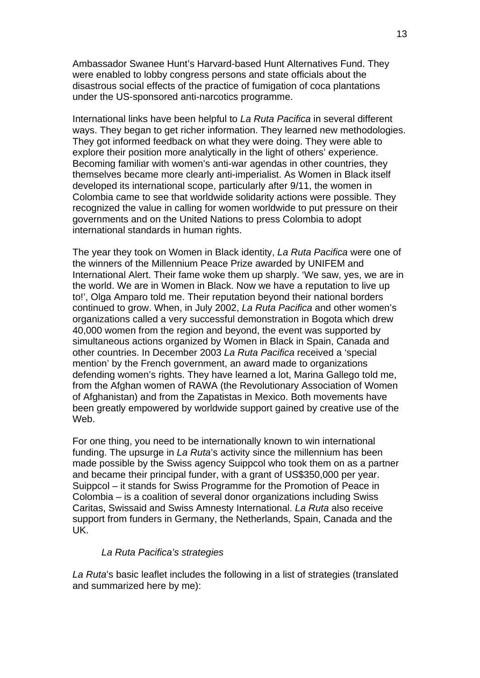Ambassador Swanee Hunt's Harvard-based Hunt Alternatives Fund. They were enabled to lobby congress persons and state officials about the disastrous social effects of the practice of fumigation of coca plantations under the US-sponsored anti-narcotics programme.

International links have been helpful to *La Ruta Pacifica* in several different ways. They began to get richer information. They learned new methodologies. They got informed feedback on what they were doing. They were able to explore their position more analytically in the light of others' experience. Becoming familiar with women's anti-war agendas in other countries, they themselves became more clearly anti-imperialist. As Women in Black itself developed its international scope, particularly after 9/11, the women in Colombia came to see that worldwide solidarity actions were possible. They recognized the value in calling for women worldwide to put pressure on their governments and on the United Nations to press Colombia to adopt international standards in human rights.

The year they took on Women in Black identity, *La Ruta Pacifica* were one of the winners of the Millennium Peace Prize awarded by UNIFEM and International Alert. Their fame woke them up sharply. 'We saw, yes, we are in the world. We are in Women in Black. Now we have a reputation to live up to!', Olga Amparo told me. Their reputation beyond their national borders continued to grow. When, in July 2002, *La Ruta Pacifica* and other women's organizations called a very successful demonstration in Bogota which drew 40,000 women from the region and beyond, the event was supported by simultaneous actions organized by Women in Black in Spain, Canada and other countries. In December 2003 *La Ruta Pacifica* received a 'special mention' by the French government, an award made to organizations defending women's rights. They have learned a lot, Marina Gallego told me, from the Afghan women of RAWA (the Revolutionary Association of Women of Afghanistan) and from the Zapatistas in Mexico. Both movements have been greatly empowered by worldwide support gained by creative use of the Web.

For one thing, you need to be internationally known to win international funding. The upsurge in *La Ruta*'s activity since the millennium has been made possible by the Swiss agency Suippcol who took them on as a partner and became their principal funder, with a grant of US\$350,000 per year. Suippcol – it stands for Swiss Programme for the Promotion of Peace in Colombia – is a coalition of several donor organizations including Swiss Caritas, Swissaid and Swiss Amnesty International. *La Ruta* also receive support from funders in Germany, the Netherlands, Spain, Canada and the UK.

### *La Ruta Pacifica's strategies*

*La Ruta*'s basic leaflet includes the following in a list of strategies (translated and summarized here by me):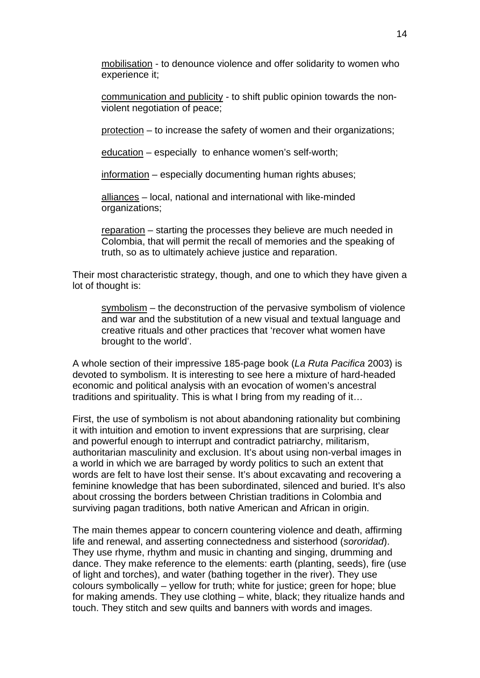mobilisation - to denounce violence and offer solidarity to women who experience it;

communication and publicity - to shift public opinion towards the nonviolent negotiation of peace;

protection – to increase the safety of women and their organizations;

education – especially to enhance women's self-worth;

information – especially documenting human rights abuses;

alliances – local, national and international with like-minded organizations;

reparation – starting the processes they believe are much needed in Colombia, that will permit the recall of memories and the speaking of truth, so as to ultimately achieve justice and reparation.

Their most characteristic strategy, though, and one to which they have given a lot of thought is:

symbolism – the deconstruction of the pervasive symbolism of violence and war and the substitution of a new visual and textual language and creative rituals and other practices that 'recover what women have brought to the world'.

A whole section of their impressive 185-page book (*La Ruta Pacifica* 2003) is devoted to symbolism. It is interesting to see here a mixture of hard-headed economic and political analysis with an evocation of women's ancestral traditions and spirituality. This is what I bring from my reading of it…

First, the use of symbolism is not about abandoning rationality but combining it with intuition and emotion to invent expressions that are surprising, clear and powerful enough to interrupt and contradict patriarchy, militarism, authoritarian masculinity and exclusion. It's about using non-verbal images in a world in which we are barraged by wordy politics to such an extent that words are felt to have lost their sense. It's about excavating and recovering a feminine knowledge that has been subordinated, silenced and buried. It's also about crossing the borders between Christian traditions in Colombia and surviving pagan traditions, both native American and African in origin.

The main themes appear to concern countering violence and death, affirming life and renewal, and asserting connectedness and sisterhood (*sororidad*). They use rhyme, rhythm and music in chanting and singing, drumming and dance. They make reference to the elements: earth (planting, seeds), fire (use of light and torches), and water (bathing together in the river). They use colours symbolically – yellow for truth; white for justice; green for hope; blue for making amends. They use clothing – white, black; they ritualize hands and touch. They stitch and sew quilts and banners with words and images.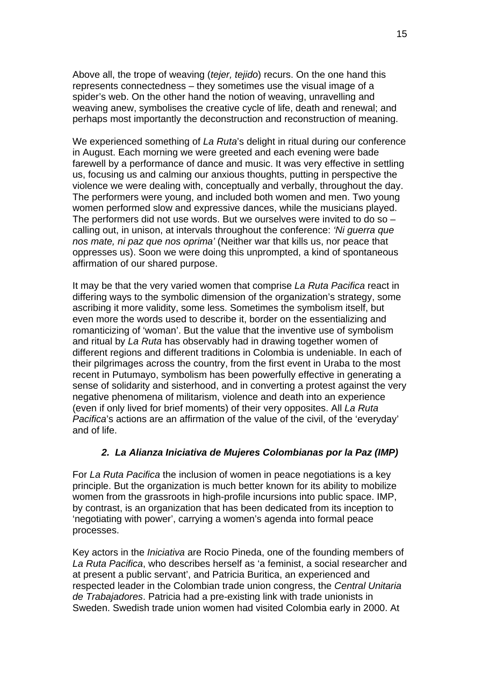Above all, the trope of weaving (*tejer, tejido*) recurs. On the one hand this represents connectedness – they sometimes use the visual image of a spider's web. On the other hand the notion of weaving, unravelling and weaving anew, symbolises the creative cycle of life, death and renewal; and perhaps most importantly the deconstruction and reconstruction of meaning.

We experienced something of *La Ruta*'s delight in ritual during our conference in August. Each morning we were greeted and each evening were bade farewell by a performance of dance and music. It was very effective in settling us, focusing us and calming our anxious thoughts, putting in perspective the violence we were dealing with, conceptually and verbally, throughout the day. The performers were young, and included both women and men. Two young women performed slow and expressive dances, while the musicians played. The performers did not use words. But we ourselves were invited to do so – calling out, in unison, at intervals throughout the conference: *'Ni guerra que nos mate, ni paz que nos oprima'* (Neither war that kills us, nor peace that oppresses us). Soon we were doing this unprompted, a kind of spontaneous affirmation of our shared purpose.

It may be that the very varied women that comprise *La Ruta Pacifica* react in differing ways to the symbolic dimension of the organization's strategy, some ascribing it more validity, some less. Sometimes the symbolism itself, but even more the words used to describe it, border on the essentializing and romanticizing of 'woman'. But the value that the inventive use of symbolism and ritual by *La Ruta* has observably had in drawing together women of different regions and different traditions in Colombia is undeniable. In each of their pilgrimages across the country, from the first event in Uraba to the most recent in Putumayo, symbolism has been powerfully effective in generating a sense of solidarity and sisterhood, and in converting a protest against the very negative phenomena of militarism, violence and death into an experience (even if only lived for brief moments) of their very opposites. All *La Ruta Pacifica*'s actions are an affirmation of the value of the civil, of the 'everyday' and of life.

# *2. La Alianza Iniciativa de Mujeres Colombianas por la Paz (IMP)*

For *La Ruta Pacifica* the inclusion of women in peace negotiations is a key principle. But the organization is much better known for its ability to mobilize women from the grassroots in high-profile incursions into public space. IMP, by contrast, is an organization that has been dedicated from its inception to 'negotiating with power', carrying a women's agenda into formal peace processes.

Key actors in the *Iniciativa* are Rocio Pineda, one of the founding members of *La Ruta Pacifica*, who describes herself as 'a feminist, a social researcher and at present a public servant', and Patricia Buritica, an experienced and respected leader in the Colombian trade union congress, the *Central Unitaria de Trabajadores*. Patricia had a pre-existing link with trade unionists in Sweden. Swedish trade union women had visited Colombia early in 2000. At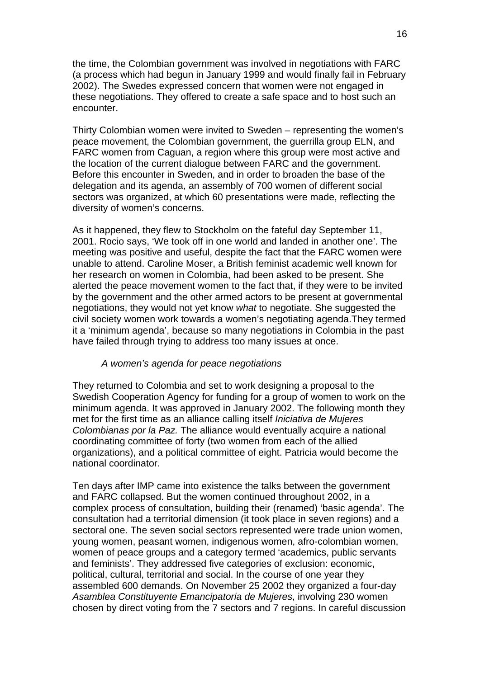the time, the Colombian government was involved in negotiations with FARC (a process which had begun in January 1999 and would finally fail in February 2002). The Swedes expressed concern that women were not engaged in these negotiations. They offered to create a safe space and to host such an encounter.

Thirty Colombian women were invited to Sweden – representing the women's peace movement, the Colombian government, the guerrilla group ELN, and FARC women from Caguan, a region where this group were most active and the location of the current dialogue between FARC and the government. Before this encounter in Sweden, and in order to broaden the base of the delegation and its agenda, an assembly of 700 women of different social sectors was organized, at which 60 presentations were made, reflecting the diversity of women's concerns.

As it happened, they flew to Stockholm on the fateful day September 11, 2001. Rocio says, 'We took off in one world and landed in another one'. The meeting was positive and useful, despite the fact that the FARC women were unable to attend. Caroline Moser, a British feminist academic well known for her research on women in Colombia, had been asked to be present. She alerted the peace movement women to the fact that, if they were to be invited by the government and the other armed actors to be present at governmental negotiations, they would not yet know *what* to negotiate. She suggested the civil society women work towards a women's negotiating agenda.They termed it a 'minimum agenda', because so many negotiations in Colombia in the past have failed through trying to address too many issues at once.

#### *A women's agenda for peace negotiations*

They returned to Colombia and set to work designing a proposal to the Swedish Cooperation Agency for funding for a group of women to work on the minimum agenda. It was approved in January 2002. The following month they met for the first time as an alliance calling itself *Iniciativa de Mujeres Colombianas por la Paz.* The alliance would eventually acquire a national coordinating committee of forty (two women from each of the allied organizations), and a political committee of eight. Patricia would become the national coordinator.

Ten days after IMP came into existence the talks between the government and FARC collapsed. But the women continued throughout 2002, in a complex process of consultation, building their (renamed) 'basic agenda'. The consultation had a territorial dimension (it took place in seven regions) and a sectoral one. The seven social sectors represented were trade union women, young women, peasant women, indigenous women, afro-colombian women, women of peace groups and a category termed 'academics, public servants and feminists'. They addressed five categories of exclusion: economic, political, cultural, territorial and social. In the course of one year they assembled 600 demands. On November 25 2002 they organized a four-day *Asamblea Constituyente Emancipatoria de Mujeres*, involving 230 women chosen by direct voting from the 7 sectors and 7 regions. In careful discussion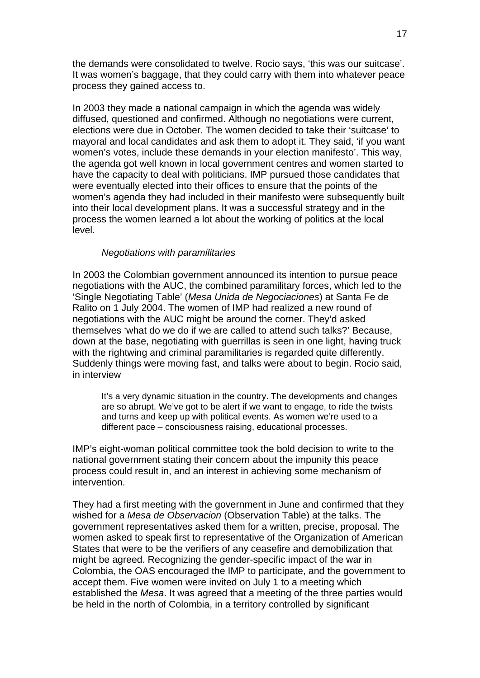the demands were consolidated to twelve. Rocio says, 'this was our suitcase'. It was women's baggage, that they could carry with them into whatever peace process they gained access to.

In 2003 they made a national campaign in which the agenda was widely diffused, questioned and confirmed. Although no negotiations were current, elections were due in October. The women decided to take their 'suitcase' to mayoral and local candidates and ask them to adopt it. They said, 'if you want women's votes, include these demands in your election manifesto'. This way, the agenda got well known in local government centres and women started to have the capacity to deal with politicians. IMP pursued those candidates that were eventually elected into their offices to ensure that the points of the women's agenda they had included in their manifesto were subsequently built into their local development plans. It was a successful strategy and in the process the women learned a lot about the working of politics at the local level.

### *Negotiations with paramilitaries*

In 2003 the Colombian government announced its intention to pursue peace negotiations with the AUC, the combined paramilitary forces, which led to the 'Single Negotiating Table' (*Mesa Unida de Negociaciones*) at Santa Fe de Ralito on 1 July 2004. The women of IMP had realized a new round of negotiations with the AUC might be around the corner. They'd asked themselves 'what do we do if we are called to attend such talks?' Because, down at the base, negotiating with guerrillas is seen in one light, having truck with the rightwing and criminal paramilitaries is regarded quite differently. Suddenly things were moving fast, and talks were about to begin. Rocio said, in interview

It's a very dynamic situation in the country. The developments and changes are so abrupt. We've got to be alert if we want to engage, to ride the twists and turns and keep up with political events. As women we're used to a different pace – consciousness raising, educational processes.

IMP's eight-woman political committee took the bold decision to write to the national government stating their concern about the impunity this peace process could result in, and an interest in achieving some mechanism of intervention.

They had a first meeting with the government in June and confirmed that they wished for a *Mesa de Observacion* (Observation Table) at the talks. The government representatives asked them for a written, precise, proposal. The women asked to speak first to representative of the Organization of American States that were to be the verifiers of any ceasefire and demobilization that might be agreed. Recognizing the gender-specific impact of the war in Colombia, the OAS encouraged the IMP to participate, and the government to accept them. Five women were invited on July 1 to a meeting which established the *Mesa*. It was agreed that a meeting of the three parties would be held in the north of Colombia, in a territory controlled by significant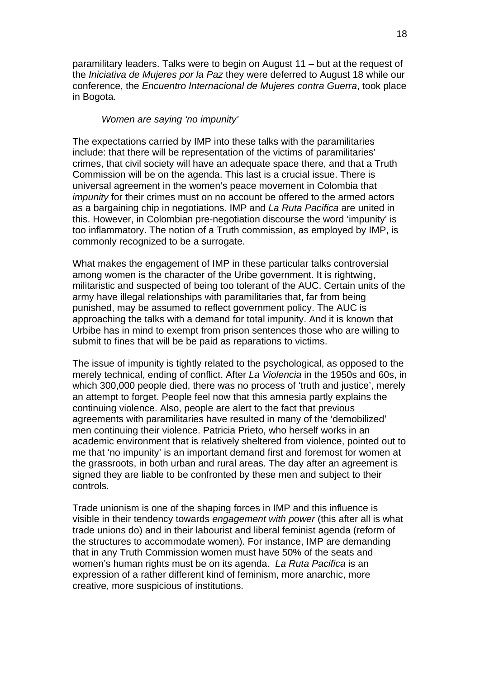paramilitary leaders. Talks were to begin on August 11 – but at the request of the *Iniciativa de Mujeres por la Paz* they were deferred to August 18 while our conference, the *Encuentro Internacional de Mujeres contra Guerra*, took place in Bogota.

### *Women are saying 'no impunity'*

The expectations carried by IMP into these talks with the paramilitaries include: that there will be representation of the victims of paramilitaries' crimes, that civil society will have an adequate space there, and that a Truth Commission will be on the agenda. This last is a crucial issue. There is universal agreement in the women's peace movement in Colombia that *impunity* for their crimes must on no account be offered to the armed actors as a bargaining chip in negotiations. IMP and *La Ruta Pacifica* are united in this. However, in Colombian pre-negotiation discourse the word 'impunity' is too inflammatory. The notion of a Truth commission, as employed by IMP, is commonly recognized to be a surrogate.

What makes the engagement of IMP in these particular talks controversial among women is the character of the Uribe government. It is rightwing, militaristic and suspected of being too tolerant of the AUC. Certain units of the army have illegal relationships with paramilitaries that, far from being punished, may be assumed to reflect government policy. The AUC is approaching the talks with a demand for total impunity. And it is known that Urbibe has in mind to exempt from prison sentences those who are willing to submit to fines that will be be paid as reparations to victims.

The issue of impunity is tightly related to the psychological, as opposed to the merely technical, ending of conflict. After *La Violencia* in the 1950s and 60s, in which 300,000 people died, there was no process of 'truth and justice', merely an attempt to forget. People feel now that this amnesia partly explains the continuing violence. Also, people are alert to the fact that previous agreements with paramilitaries have resulted in many of the 'demobilized' men continuing their violence. Patricia Prieto, who herself works in an academic environment that is relatively sheltered from violence, pointed out to me that 'no impunity' is an important demand first and foremost for women at the grassroots, in both urban and rural areas. The day after an agreement is signed they are liable to be confronted by these men and subject to their controls.

Trade unionism is one of the shaping forces in IMP and this influence is visible in their tendency towards *engagement with power* (this after all is what trade unions do) and in their labourist and liberal feminist agenda (reform of the structures to accommodate women). For instance, IMP are demanding that in any Truth Commission women must have 50% of the seats and women's human rights must be on its agenda. *La Ruta Pacifica* is an expression of a rather different kind of feminism, more anarchic, more creative, more suspicious of institutions.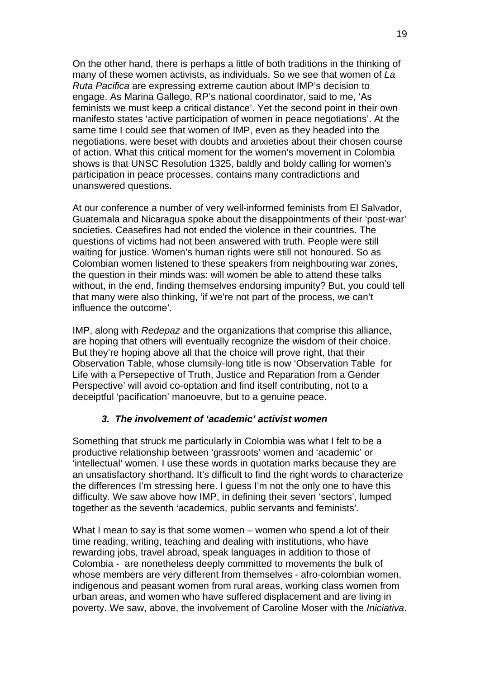On the other hand, there is perhaps a little of both traditions in the thinking of many of these women activists, as individuals. So we see that women of *La Ruta Pacifica* are expressing extreme caution about IMP's decision to engage. As Marina Gallego, RP's national coordinator, said to me, 'As feminists we must keep a critical distance'. Yet the second point in their own manifesto states 'active participation of women in peace negotiations'. At the same time I could see that women of IMP, even as they headed into the negotiations, were beset with doubts and anxieties about their chosen course of action. What this critical moment for the women's movement in Colombia shows is that UNSC Resolution 1325, baldly and boldy calling for women's participation in peace processes, contains many contradictions and unanswered questions.

At our conference a number of very well-informed feminists from El Salvador, Guatemala and Nicaragua spoke about the disappointments of their 'post-war' societies. Ceasefires had not ended the violence in their countries. The questions of victims had not been answered with truth. People were still waiting for justice. Women's human rights were still not honoured. So as Colombian women listened to these speakers from neighbouring war zones, the question in their minds was: will women be able to attend these talks without, in the end, finding themselves endorsing impunity? But, you could tell that many were also thinking, 'if we're not part of the process, we can't influence the outcome'.

IMP, along with *Redepaz* and the organizations that comprise this alliance, are hoping that others will eventually recognize the wisdom of their choice. But they're hoping above all that the choice will prove right, that their Observation Table, whose clumsily-long title is now 'Observation Table for Life with a Persepective of Truth, Justice and Reparation from a Gender Perspective' will avoid co-optation and find itself contributing, not to a deceiptful 'pacification' manoeuvre, but to a genuine peace.

# *3. The involvement of 'academic' activist women*

Something that struck me particularly in Colombia was what I felt to be a productive relationship between 'grassroots' women and 'academic' or 'intellectual' women. I use these words in quotation marks because they are an unsatisfactory shorthand. It's difficult to find the right words to characterize the differences I'm stressing here. I guess I'm not the only one to have this difficulty. We saw above how IMP, in defining their seven 'sectors', lumped together as the seventh 'academics, public servants and feminists'.

What I mean to say is that some women – women who spend a lot of their time reading, writing, teaching and dealing with institutions, who have rewarding jobs, travel abroad, speak languages in addition to those of Colombia - are nonetheless deeply committed to movements the bulk of whose members are very different from themselves - afro-colombian women, indigenous and peasant women from rural areas, working class women from urban areas, and women who have suffered displacement and are living in poverty. We saw, above, the involvement of Caroline Moser with the *Iniciativa*.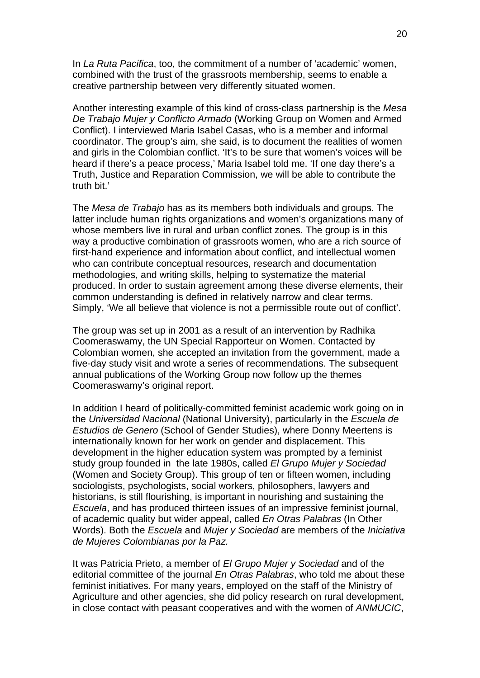In *La Ruta Pacifica*, too, the commitment of a number of 'academic' women, combined with the trust of the grassroots membership, seems to enable a creative partnership between very differently situated women.

Another interesting example of this kind of cross-class partnership is the *Mesa De Trabajo Mujer y Conflicto Armado* (Working Group on Women and Armed Conflict). I interviewed Maria Isabel Casas, who is a member and informal coordinator. The group's aim, she said, is to document the realities of women and girls in the Colombian conflict. 'It's to be sure that women's voices will be heard if there's a peace process,' Maria Isabel told me. 'If one day there's a Truth, Justice and Reparation Commission, we will be able to contribute the truth bit.'

The *Mesa de Trabajo* has as its members both individuals and groups. The latter include human rights organizations and women's organizations many of whose members live in rural and urban conflict zones. The group is in this way a productive combination of grassroots women, who are a rich source of first-hand experience and information about conflict, and intellectual women who can contribute conceptual resources, research and documentation methodologies, and writing skills, helping to systematize the material produced. In order to sustain agreement among these diverse elements, their common understanding is defined in relatively narrow and clear terms. Simply, 'We all believe that violence is not a permissible route out of conflict'.

The group was set up in 2001 as a result of an intervention by Radhika Coomeraswamy, the UN Special Rapporteur on Women. Contacted by Colombian women, she accepted an invitation from the government, made a five-day study visit and wrote a series of recommendations. The subsequent annual publications of the Working Group now follow up the themes Coomeraswamy's original report.

In addition I heard of politically-committed feminist academic work going on in the *Universidad Nacional* (National University), particularly in the *Escuela de Estudios de Genero* (School of Gender Studies), where Donny Meertens is internationally known for her work on gender and displacement. This development in the higher education system was prompted by a feminist study group founded in the late 1980s, called *El Grupo Mujer y Sociedad* (Women and Society Group). This group of ten or fifteen women, including sociologists, psychologists, social workers, philosophers, lawyers and historians, is still flourishing, is important in nourishing and sustaining the *Escuela*, and has produced thirteen issues of an impressive feminist journal, of academic quality but wider appeal, called *En Otras Palabras* (In Other Words). Both the *Escuela* and *Mujer y Sociedad* are members of the *Iniciativa de Mujeres Colombianas por la Paz.* 

It was Patricia Prieto, a member of *El Grupo Mujer y Sociedad* and of the editorial committee of the journal *En Otras Palabras*, who told me about these feminist initiatives. For many years, employed on the staff of the Ministry of Agriculture and other agencies, she did policy research on rural development, in close contact with peasant cooperatives and with the women of *ANMUCIC*,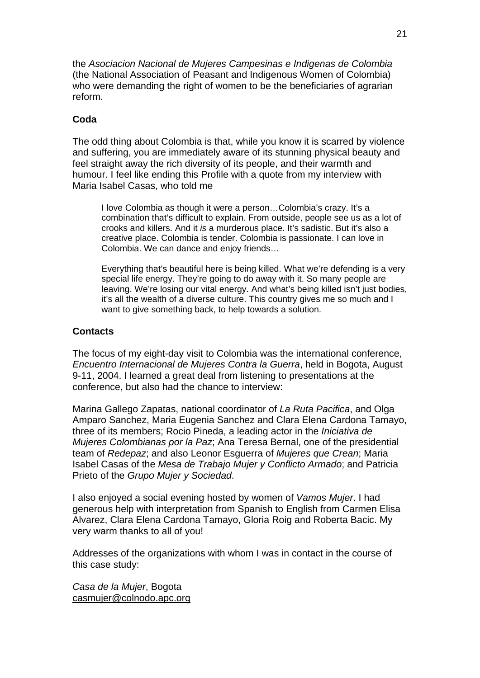the *Asociacion Nacional de Mujeres Campesinas e Indigenas de Colombia* (the National Association of Peasant and Indigenous Women of Colombia) who were demanding the right of women to be the beneficiaries of agrarian reform.

### **Coda**

The odd thing about Colombia is that, while you know it is scarred by violence and suffering, you are immediately aware of its stunning physical beauty and feel straight away the rich diversity of its people, and their warmth and humour. I feel like ending this Profile with a quote from my interview with Maria Isabel Casas, who told me

I love Colombia as though it were a person…Colombia's crazy. It's a combination that's difficult to explain. From outside, people see us as a lot of crooks and killers. And it *is* a murderous place. It's sadistic. But it's also a creative place. Colombia is tender. Colombia is passionate. I can love in Colombia. We can dance and enjoy friends…

Everything that's beautiful here is being killed. What we're defending is a very special life energy. They're going to do away with it. So many people are leaving. We're losing our vital energy. And what's being killed isn't just bodies, it's all the wealth of a diverse culture. This country gives me so much and I want to give something back, to help towards a solution.

### **Contacts**

The focus of my eight-day visit to Colombia was the international conference, *Encuentro Internacional de Mujeres Contra la Guerra*, held in Bogota, August 9-11, 2004. I learned a great deal from listening to presentations at the conference, but also had the chance to interview:

Marina Gallego Zapatas, national coordinator of *La Ruta Pacifica*, and Olga Amparo Sanchez, Maria Eugenia Sanchez and Clara Elena Cardona Tamayo, three of its members; Rocio Pineda, a leading actor in the *Iniciativa de Mujeres Colombianas por la Paz*; Ana Teresa Bernal, one of the presidential team of *Redepaz*; and also Leonor Esguerra of *Mujeres que Crean*; Maria Isabel Casas of the *Mesa de Trabajo Mujer y Conflicto Armado*; and Patricia Prieto of the *Grupo Mujer y Sociedad*.

I also enjoyed a social evening hosted by women of *Vamos Mujer*. I had generous help with interpretation from Spanish to English from Carmen Elisa Alvarez, Clara Elena Cardona Tamayo, Gloria Roig and Roberta Bacic. My very warm thanks to all of you!

Addresses of the organizations with whom I was in contact in the course of this case study:

*Casa de la Mujer*, Bogota [casmujer@colnodo.apc.org](mailto:casmujer@colnodo.apc.org)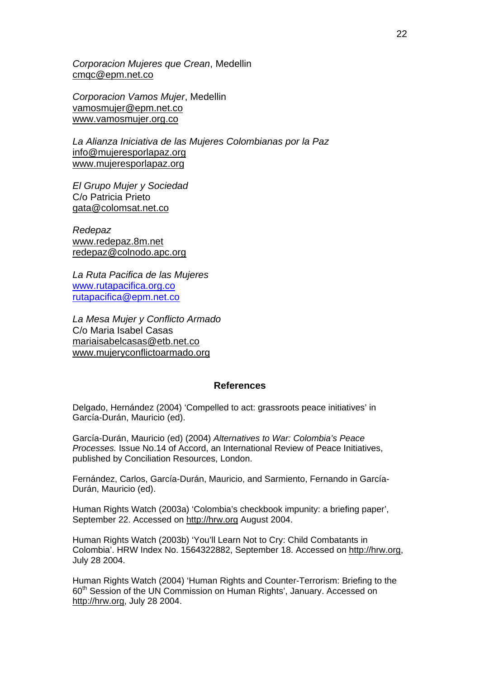*Corporacion Mujeres que Crean*, Medellin [cmqc@epm.net.co](mailto:cmqc@epm.net.co)

*Corporacion Vamos Mujer*, Medellin [vamosmujer@epm.net.co](mailto:vamosmujer@epm.net.co) [www.vamosmujer.org.co](http://www.vamosmujer.org.co/)

*La Alianza Iniciativa de las Mujeres Colombianas por la Paz*  [info@mujeresporlapaz.org](mailto:info@mujeresporlapaz.org) [www.mujeresporlapaz.org](http://www.mujeresporlapaz.org/)

*El Grupo Mujer y Sociedad*  C/o Patricia Prieto [gata@colomsat.net.co](mailto:gata@colomsat.net.co)

*Redepaz* [www.redepaz.8m.net](http://www.redepaz.8m.net/) [redepaz@colnodo.apc.org](mailto:redepaz@colnodo.apc.org)

*La Ruta Pacifica de las Mujeres*  [www.rutapacifica.org.co](http://www.rutapacifica.org.co/) [rutapacifica@epm.net.co](mailto:rutapacifica@epm.net.co)

*La Mesa Mujer y Conflicto Armado*  C/o Maria Isabel Casas [mariaisabelcasas@etb.net.co](mailto:mariaisabelcasas@etb.net.co) [www.mujeryconflictoarmado.org](http://www.mujeeryconflictoarmado.org/)

### **References**

Delgado, Hernández (2004) 'Compelled to act: grassroots peace initiatives' in García-Durán, Mauricio (ed).

García-Durán, Mauricio (ed) (2004) *Alternatives to War: Colombia's Peace Processes.* Issue No.14 of Accord, an International Review of Peace Initiatives, published by Conciliation Resources, London.

Fernández, Carlos, García-Durán, Mauricio, and Sarmiento, Fernando in García-Durán, Mauricio (ed).

Human Rights Watch (2003a) 'Colombia's checkbook impunity: a briefing paper', September 22. Accessed on [http://hrw.org](http://hrw.org/) August 2004.

Human Rights Watch (2003b) 'You'll Learn Not to Cry: Child Combatants in Colombia'. HRW Index No. 1564322882, September 18. Accessed on [http://hrw.org](http://hrw.org/), July 28 2004.

Human Rights Watch (2004) 'Human Rights and Counter-Terrorism: Briefing to the 60<sup>th</sup> Session of the UN Commission on Human Rights', January. Accessed on [http://hrw.org](http://hrw.org/), July 28 2004.